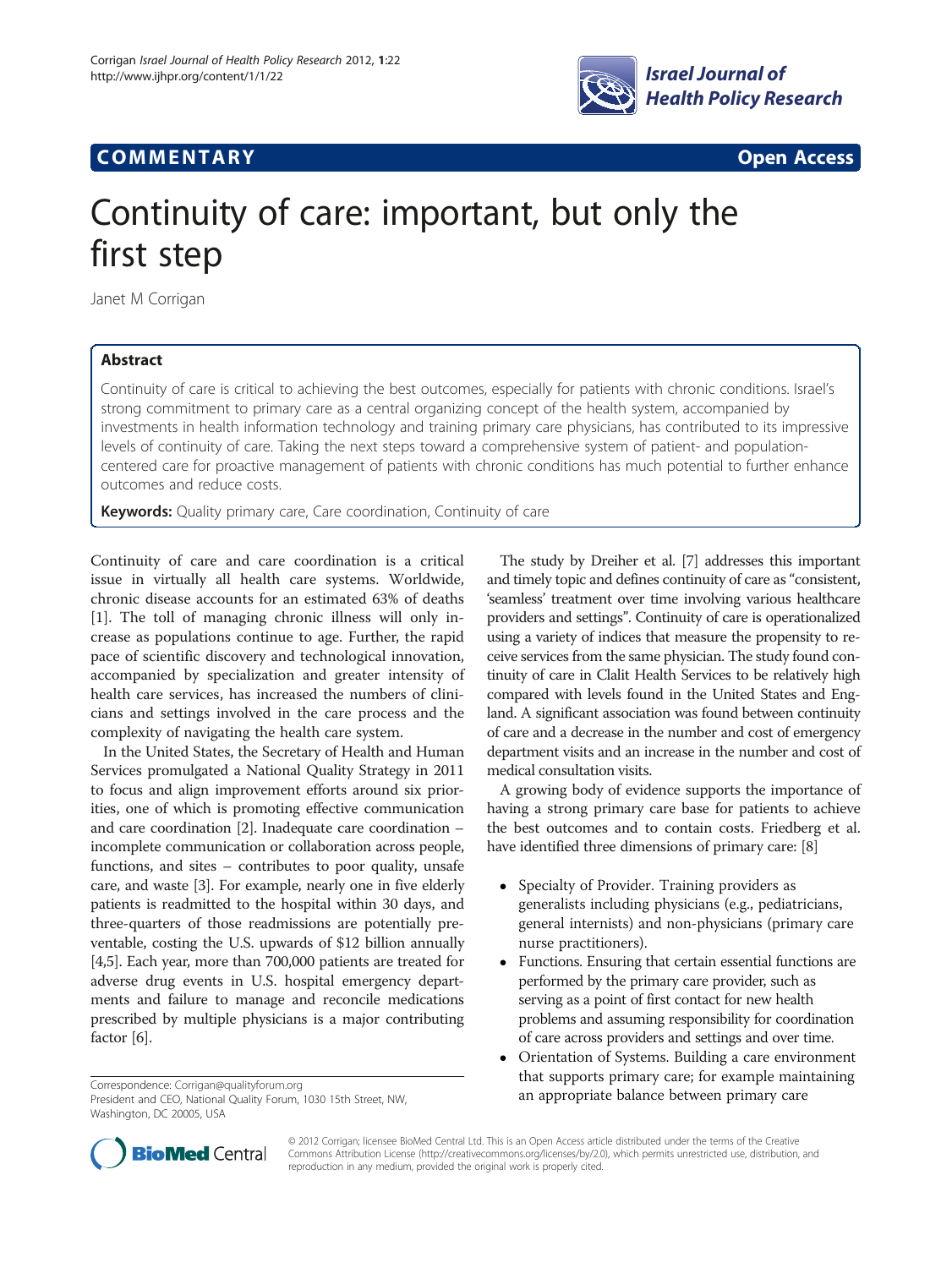

## **COMMENTARY COMMENTARY COMMENTARY**

# Continuity of care: important, but only the first step

Janet M Corrigan

### Abstract

Continuity of care is critical to achieving the best outcomes, especially for patients with chronic conditions. Israel's strong commitment to primary care as a central organizing concept of the health system, accompanied by investments in health information technology and training primary care physicians, has contributed to its impressive levels of continuity of care. Taking the next steps toward a comprehensive system of patient- and populationcentered care for proactive management of patients with chronic conditions has much potential to further enhance outcomes and reduce costs.

Keywords: Quality primary care, Care coordination, Continuity of care

Continuity of care and care coordination is a critical issue in virtually all health care systems. Worldwide, chronic disease accounts for an estimated 63% of deaths [[1\]](#page-1-0). The toll of managing chronic illness will only increase as populations continue to age. Further, the rapid pace of scientific discovery and technological innovation, accompanied by specialization and greater intensity of health care services, has increased the numbers of clinicians and settings involved in the care process and the complexity of navigating the health care system.

In the United States, the Secretary of Health and Human Services promulgated a National Quality Strategy in 2011 to focus and align improvement efforts around six priorities, one of which is promoting effective communication and care coordination [\[2\]](#page-1-0). Inadequate care coordination – incomplete communication or collaboration across people, functions, and sites – contributes to poor quality, unsafe care, and waste [\[3\]](#page-1-0). For example, nearly one in five elderly patients is readmitted to the hospital within 30 days, and three-quarters of those readmissions are potentially preventable, costing the U.S. upwards of \$12 billion annually [[4,5](#page-1-0)]. Each year, more than 700,000 patients are treated for adverse drug events in U.S. hospital emergency departments and failure to manage and reconcile medications prescribed by multiple physicians is a major contributing factor [\[6\]](#page-1-0).

President and CEO, National Quality Forum, 1030 15th Street, NW, Washington, DC 20005, USA

The study by Dreiher et al. [[7](#page-1-0)] addresses this important and timely topic and defines continuity of care as "consistent, 'seamless' treatment over time involving various healthcare providers and settings". Continuity of care is operationalized using a variety of indices that measure the propensity to receive services from the same physician. The study found continuity of care in Clalit Health Services to be relatively high compared with levels found in the United States and England. A significant association was found between continuity of care and a decrease in the number and cost of emergency department visits and an increase in the number and cost of medical consultation visits.

A growing body of evidence supports the importance of having a strong primary care base for patients to achieve the best outcomes and to contain costs. Friedberg et al. have identified three dimensions of primary care: [\[8](#page-2-0)]

- Specialty of Provider. Training providers as generalists including physicians (e.g., pediatricians, general internists) and non-physicians (primary care nurse practitioners).
- Functions. Ensuring that certain essential functions are performed by the primary care provider, such as serving as a point of first contact for new health problems and assuming responsibility for coordination of care across providers and settings and over time.
- Orientation of Systems. Building a care environment that supports primary care; for example maintaining Correspondence: [Corrigan@qualityforum.org](mailto:Corrigan@qualityforum.org)<br>President and CFO. National Quality Forum. 1030 15th Street. NW. **an appropriate balance between primary care**



© 2012 Corrigan; licensee BioMed Central Ltd. This is an Open Access article distributed under the terms of the Creative Commons Attribution License ([http://creativecommons.org/licenses/by/2.0\)](http://creativecommons.org/licenses/by/2.0), which permits unrestricted use, distribution, and reproduction in any medium, provided the original work is properly cited.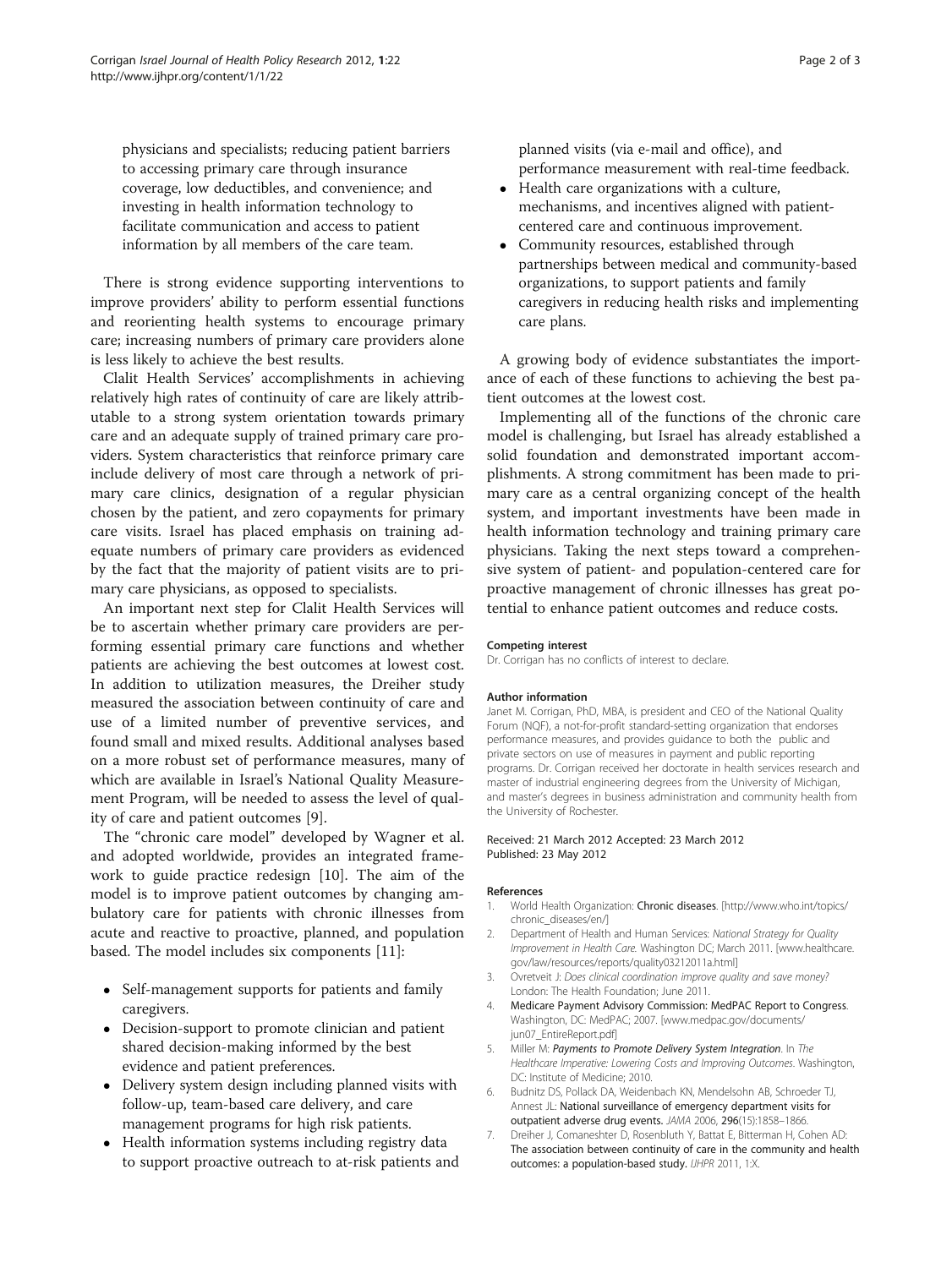<span id="page-1-0"></span>physicians and specialists; reducing patient barriers to accessing primary care through insurance coverage, low deductibles, and convenience; and investing in health information technology to facilitate communication and access to patient information by all members of the care team.

There is strong evidence supporting interventions to improve providers' ability to perform essential functions and reorienting health systems to encourage primary care; increasing numbers of primary care providers alone is less likely to achieve the best results.

Clalit Health Services' accomplishments in achieving relatively high rates of continuity of care are likely attributable to a strong system orientation towards primary care and an adequate supply of trained primary care providers. System characteristics that reinforce primary care include delivery of most care through a network of primary care clinics, designation of a regular physician chosen by the patient, and zero copayments for primary care visits. Israel has placed emphasis on training adequate numbers of primary care providers as evidenced by the fact that the majority of patient visits are to primary care physicians, as opposed to specialists.

An important next step for Clalit Health Services will be to ascertain whether primary care providers are performing essential primary care functions and whether patients are achieving the best outcomes at lowest cost. In addition to utilization measures, the Dreiher study measured the association between continuity of care and use of a limited number of preventive services, and found small and mixed results. Additional analyses based on a more robust set of performance measures, many of which are available in Israel's National Quality Measurement Program, will be needed to assess the level of quality of care and patient outcomes [[9](#page-2-0)].

The "chronic care model" developed by Wagner et al. and adopted worldwide, provides an integrated framework to guide practice redesign [[10](#page-2-0)]. The aim of the model is to improve patient outcomes by changing ambulatory care for patients with chronic illnesses from acute and reactive to proactive, planned, and population based. The model includes six components [\[11](#page-2-0)]:

- Self-management supports for patients and family caregivers.
- Decision-support to promote clinician and patient shared decision-making informed by the best evidence and patient preferences.
- Delivery system design including planned visits with follow-up, team-based care delivery, and care management programs for high risk patients.
- Health information systems including registry data to support proactive outreach to at-risk patients and

planned visits (via e-mail and office), and performance measurement with real-time feedback.

- Health care organizations with a culture, mechanisms, and incentives aligned with patientcentered care and continuous improvement.
- Community resources, established through partnerships between medical and community-based organizations, to support patients and family caregivers in reducing health risks and implementing care plans.

A growing body of evidence substantiates the importance of each of these functions to achieving the best patient outcomes at the lowest cost.

Implementing all of the functions of the chronic care model is challenging, but Israel has already established a solid foundation and demonstrated important accomplishments. A strong commitment has been made to primary care as a central organizing concept of the health system, and important investments have been made in health information technology and training primary care physicians. Taking the next steps toward a comprehensive system of patient- and population-centered care for proactive management of chronic illnesses has great potential to enhance patient outcomes and reduce costs.

#### Competing interest

Dr. Corrigan has no conflicts of interest to declare.

#### Author information

Janet M. Corrigan, PhD, MBA, is president and CEO of the National Quality Forum (NQF), a not-for-profit standard-setting organization that endorses performance measures, and provides guidance to both the public and private sectors on use of measures in payment and public reporting programs. Dr. Corrigan received her doctorate in health services research and master of industrial engineering degrees from the University of Michigan, and master's degrees in business administration and community health from the University of Rochester.

#### Received: 21 March 2012 Accepted: 23 March 2012 Published: 23 May 2012

#### References

- 1. World Health Organization: Chronic diseases. [\[http://www.who.int/topics/](http://www.who.int/topics/chronic_diseases/en/) [chronic\\_diseases/en/](http://www.who.int/topics/chronic_diseases/en/)]
- 2. Department of Health and Human Services: National Strategy for Quality Improvement in Health Care. Washington DC; March 2011. [\[www.healthcare.](http://www.healthcare.gov/law/resources/reports/quality03212011a.html) [gov/law/resources/reports/quality03212011a.html](http://www.healthcare.gov/law/resources/reports/quality03212011a.html)]
- 3. Ovretveit J: Does clinical coordination improve quality and save money? London: The Health Foundation; June 2011.
- 4. Medicare Payment Advisory Commission: MedPAC Report to Congress. Washington, DC: MedPAC; 2007. [www.medpac.gov/documents/ jun07\_EntireReport.pdf]
- 5. Miller M: Payments to Promote Delivery System Integration. In The Healthcare Imperative: Lowering Costs and Improving Outcomes. Washington, DC: Institute of Medicine; 2010.
- 6. Budnitz DS, Pollack DA, Weidenbach KN, Mendelsohn AB, Schroeder TJ, Annest JL: National surveillance of emergency department visits for outpatient adverse drug events. JAMA 2006, 296(15):1858–1866.
- 7. Dreiher J, Comaneshter D, Rosenbluth Y, Battat E, Bitterman H, Cohen AD: The association between continuity of care in the community and health outcomes: a population-based study. IJHPR 2011, 1:X.